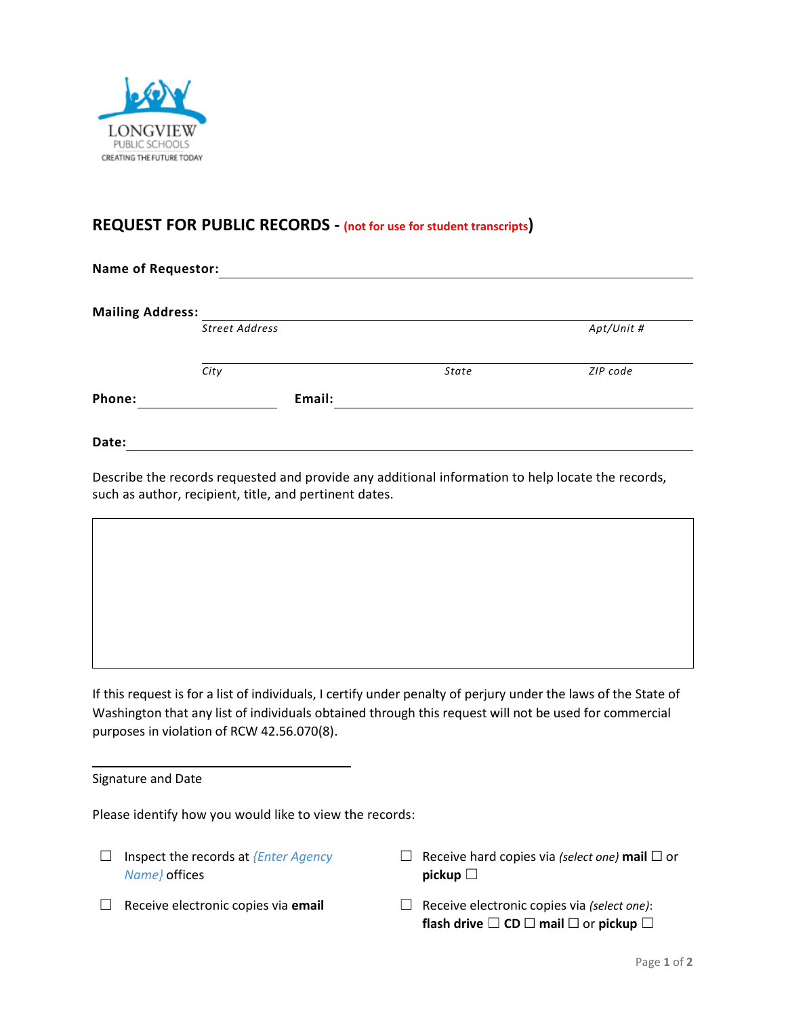

## **REQUEST FOR PUBLIC RECORDS - (not for use for student transcripts)**

**Name of Requestor: Mailing Address:** *Street Address Apt/Unit # City State ZIP code* **Phone: Email:**

**Date:**

Describe the records requested and provide any additional information to help locate the records, such as author, recipient, title, and pertinent dates.

If this request is for a list of individuals, I certify under penalty of perjury under the laws of the State of Washington that any list of individuals obtained through this request will not be used for commercial purposes in violation of RCW 42.56.070(8).

Signature and Date

Please identify how you would like to view the records:

- ☐ Inspect the records at *{Enter Agency Name}* offices
- ☐ Receive hard copies via *(select one)* **mail** ☐ or **pickup** □
- 
- ☐ Receive electronic copies via **email** ☐ Receive electronic copies via *(select one)*: **flash drive** ☐ **CD** ☐ **mail** ☐ or **pickup** ☐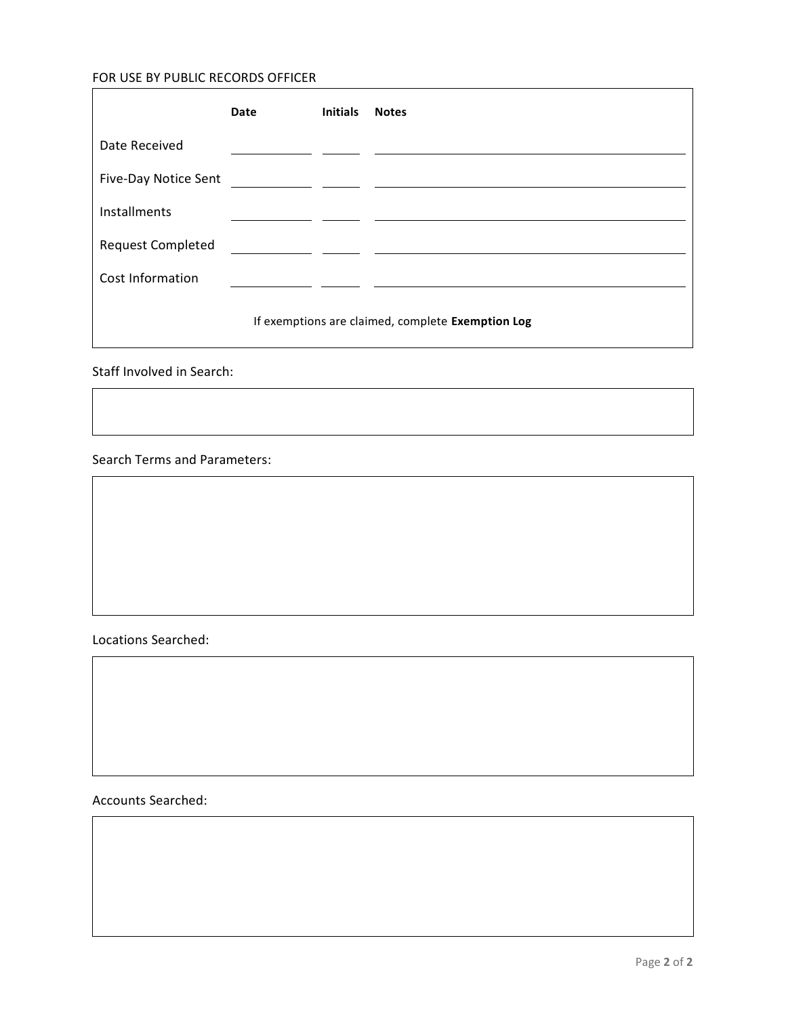## FOR USE BY PUBLIC RECORDS OFFICER

|                                                   | Date | <b>Initials</b> | <b>Notes</b> |
|---------------------------------------------------|------|-----------------|--------------|
| Date Received                                     |      |                 |              |
| Five-Day Notice Sent                              |      |                 |              |
| Installments                                      |      |                 |              |
| <b>Request Completed</b>                          |      |                 |              |
| Cost Information                                  |      |                 |              |
| If exemptions are claimed, complete Exemption Log |      |                 |              |

Staff Involved in Search:

## Search Terms and Parameters:



Accounts Searched: